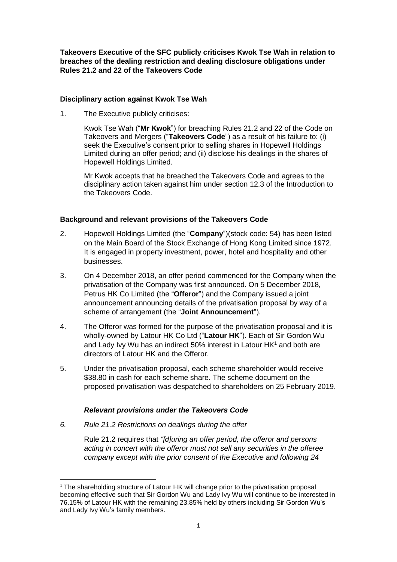**Takeovers Executive of the SFC publicly criticises Kwok Tse Wah in relation to breaches of the dealing restriction and dealing disclosure obligations under Rules 21.2 and 22 of the Takeovers Code**

### **Disciplinary action against Kwok Tse Wah**

1. The Executive publicly criticises:

Kwok Tse Wah ("**Mr Kwok**") for breaching Rules 21.2 and 22 of the Code on Takeovers and Mergers ("**Takeovers Code**") as a result of his failure to: (i) seek the Executive's consent prior to selling shares in Hopewell Holdings Limited during an offer period; and (ii) disclose his dealings in the shares of Hopewell Holdings Limited.

Mr Kwok accepts that he breached the Takeovers Code and agrees to the disciplinary action taken against him under section 12.3 of the Introduction to the Takeovers Code.

# **Background and relevant provisions of the Takeovers Code**

- 2. Hopewell Holdings Limited (the "**Company**")(stock code: 54) has been listed on the Main Board of the Stock Exchange of Hong Kong Limited since 1972. It is engaged in property investment, power, hotel and hospitality and other businesses.
- 3. On 4 December 2018, an offer period commenced for the Company when the privatisation of the Company was first announced. On 5 December 2018, Petrus HK Co Limited (the "**Offeror**") and the Company issued a joint announcement announcing details of the privatisation proposal by way of a scheme of arrangement (the "**Joint Announcement**").
- 4. The Offeror was formed for the purpose of the privatisation proposal and it is wholly-owned by Latour HK Co Ltd ("**Latour HK**"). Each of Sir Gordon Wu and Lady Ivy Wu has an indirect 50% interest in Latour HK<sup>1</sup> and both are directors of Latour HK and the Offeror.
- 5. Under the privatisation proposal, each scheme shareholder would receive \$38.80 in cash for each scheme share. The scheme document on the proposed privatisation was despatched to shareholders on 25 February 2019.

#### *Relevant provisions under the Takeovers Code*

*6. Rule 21.2 Restrictions on dealings during the offer*

 $\overline{a}$ 

Rule 21.2 requires that *"[d]uring an offer period, the offeror and persons acting in concert with the offeror must not sell any securities in the offeree company except with the prior consent of the Executive and following 24*

 $1$  The shareholding structure of Latour HK will change prior to the privatisation proposal becoming effective such that Sir Gordon Wu and Lady Ivy Wu will continue to be interested in 76.15% of Latour HK with the remaining 23.85% held by others including Sir Gordon Wu's and Lady Ivy Wu's family members.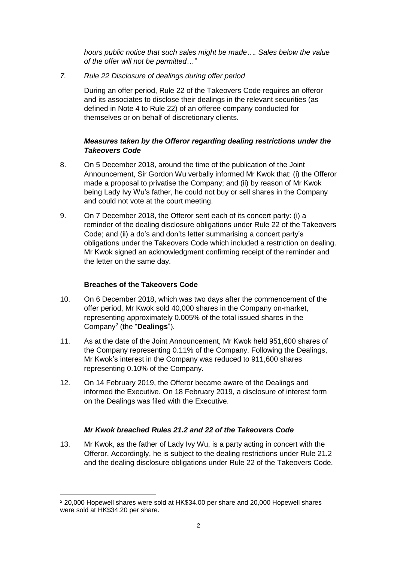*hours public notice that such sales might be made…. Sales below the value of the offer will not be permitted…"*

*7. Rule 22 Disclosure of dealings during offer period*

During an offer period, Rule 22 of the Takeovers Code requires an offeror and its associates to disclose their dealings in the relevant securities (as defined in Note 4 to Rule 22) of an offeree company conducted for themselves or on behalf of discretionary clients.

# *Measures taken by the Offeror regarding dealing restrictions under the Takeovers Code*

- 8. On 5 December 2018, around the time of the publication of the Joint Announcement, Sir Gordon Wu verbally informed Mr Kwok that: (i) the Offeror made a proposal to privatise the Company; and (ii) by reason of Mr Kwok being Lady Ivy Wu's father, he could not buy or sell shares in the Company and could not vote at the court meeting.
- 9. On 7 December 2018, the Offeror sent each of its concert party: (i) a reminder of the dealing disclosure obligations under Rule 22 of the Takeovers Code; and (ii) a do's and don'ts letter summarising a concert party's obligations under the Takeovers Code which included a restriction on dealing. Mr Kwok signed an acknowledgment confirming receipt of the reminder and the letter on the same day.

#### **Breaches of the Takeovers Code**

 $\overline{a}$ 

- 10. On 6 December 2018, which was two days after the commencement of the offer period, Mr Kwok sold 40,000 shares in the Company on-market, representing approximately 0.005% of the total issued shares in the Company<sup>2</sup> (the "**Dealings**").
- 11. As at the date of the Joint Announcement, Mr Kwok held 951,600 shares of the Company representing 0.11% of the Company. Following the Dealings, Mr Kwok's interest in the Company was reduced to 911,600 shares representing 0.10% of the Company.
- 12. On 14 February 2019, the Offeror became aware of the Dealings and informed the Executive. On 18 February 2019, a disclosure of interest form on the Dealings was filed with the Executive.

# *Mr Kwok breached Rules 21.2 and 22 of the Takeovers Code*

13. Mr Kwok, as the father of Lady Ivy Wu, is a party acting in concert with the Offeror. Accordingly, he is subject to the dealing restrictions under Rule 21.2 and the dealing disclosure obligations under Rule 22 of the Takeovers Code.

<sup>2</sup> 20,000 Hopewell shares were sold at HK\$34.00 per share and 20,000 Hopewell shares were sold at HK\$34.20 per share.